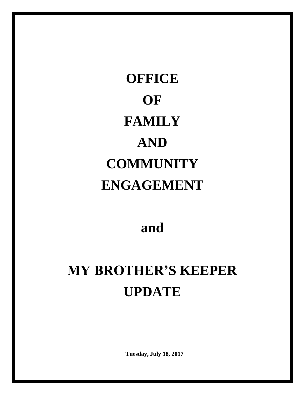**OFFICE OF FAMILY AND COMMUNITY ENGAGEMENT**

**and**

# **MY BROTHER'S KEEPER UPDATE**

**Tuesday, July 18, 2017**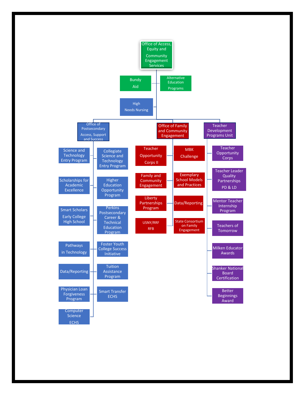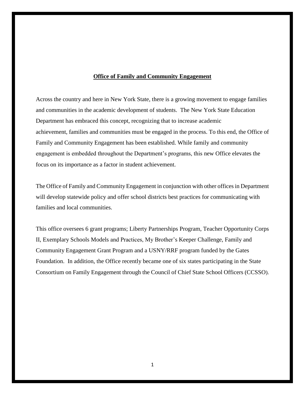#### **Office of Family and Community Engagement**

Across the country and here in New York State, there is a growing movement to engage families and communities in the academic development of students. The New York State Education Department has embraced this concept, recognizing that to increase academic achievement, families and communities must be engaged in the process. To this end, the Office of Family and Community Engagement has been established. While family and community engagement is embedded throughout the Department's programs, this new Office elevates the focus on its importance as a factor in student achievement.

The Office of Family and Community Engagement in conjunction with other offices in Department will develop statewide policy and offer school districts best practices for communicating with families and local communities.

This office oversees 6 grant programs; Liberty Partnerships Program, Teacher Opportunity Corps II, Exemplary Schools Models and Practices, My Brother's Keeper Challenge, Family and Community Engagement Grant Program and a USNY/RRF program funded by the Gates Foundation. In addition, the Office recently became one of six states participating in the State Consortium on Family Engagement through the Council of Chief State School Officers (CCSSO).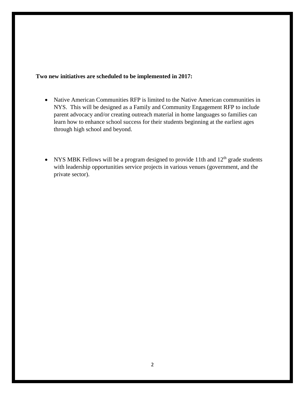### **Two new initiatives are scheduled to be implemented in 2017:**

- Native American Communities RFP is limited to the Native American communities in NYS. This will be designed as a Family and Community Engagement RFP to include parent advocacy and/or creating outreach material in home languages so families can learn how to enhance school success for their students beginning at the earliest ages through high school and beyond.
- NYS MBK Fellows will be a program designed to provide 11th and  $12<sup>th</sup>$  grade students with leadership opportunities service projects in various venues (government, and the private sector).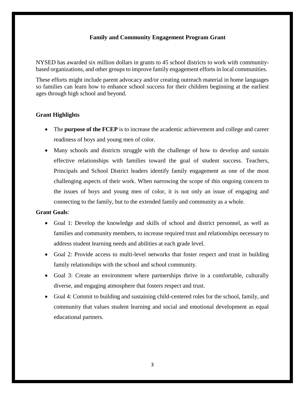### **[Family and Community Engagement](http://www.p12.nysed.gov/compcontracts/16-013-fcep/) Program Grant**

NYSED has awarded six million dollars in grants to 45 school districts to work with communitybased organizations, and other groups to improve family engagement efforts in local communities.

These efforts might include parent advocacy and/or creating outreach material in home languages so families can learn how to enhance school success for their children beginning at the earliest ages through high school and beyond.

### **Grant Highlights**

- The **purpose of the FCEP** is to increase the academic achievement and college and career readiness of boys and young men of color.
- Many schools and districts struggle with the challenge of how to develop and sustain effective relationships with families toward the goal of student success. Teachers, Principals and School District leaders identify family engagement as one of the most challenging aspects of their work. When narrowing the scope of this ongoing concern to the issues of boys and young men of color, it is not only an issue of engaging and connecting to the family, but to the extended family and community as a whole.

### **Grant Goals**:

- Goal 1: Develop the knowledge and skills of school and district personnel, as well as families and community members, to increase required trust and relationships necessary to address student learning needs and abilities at each grade level.
- Goal 2: Provide access to multi-level networks that foster respect and trust in building family relationships with the school and school community.
- Goal 3: Create an environment where partnerships thrive in a comfortable, culturally diverse, and engaging atmosphere that fosters respect and trust.
- Goal 4: Commit to building and sustaining child-centered roles for the school, family, and community that values student learning and social and emotional development as equal educational partners.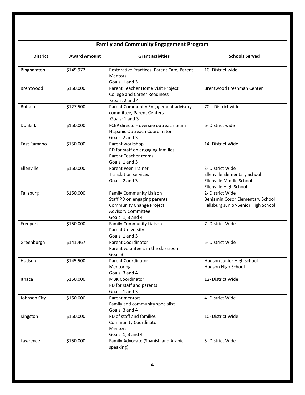|                 | <b>Family and Community Engagement Program</b> |                                                                                                                                                      |                                                                                                        |  |  |  |  |  |  |  |  |  |
|-----------------|------------------------------------------------|------------------------------------------------------------------------------------------------------------------------------------------------------|--------------------------------------------------------------------------------------------------------|--|--|--|--|--|--|--|--|--|
| <b>District</b> | <b>Award Amount</b>                            | <b>Grant activities</b>                                                                                                                              | <b>Schools Served</b>                                                                                  |  |  |  |  |  |  |  |  |  |
| Binghamton      | \$149,972                                      | Restorative Practices, Parent Café, Parent<br><b>Mentors</b><br>Goals: 1 and 3                                                                       | 10- District wide                                                                                      |  |  |  |  |  |  |  |  |  |
| Brentwood       | \$150,000                                      | Parent Teacher Home Visit Project<br><b>College and Career Readiness</b><br>Goals: 2 and 4                                                           | Brentwood Freshman Center                                                                              |  |  |  |  |  |  |  |  |  |
| <b>Buffalo</b>  | \$127,500                                      | Parent Community Engagement advisory<br>committee, Parent Centers<br>Goals: 1 and 3                                                                  | 70 - District wide                                                                                     |  |  |  |  |  |  |  |  |  |
| <b>Dunkirk</b>  | \$150,000                                      | FCEP director- oversee outreach team<br>Hispanic Outreach Coordinator<br>Goals: 2 and 3                                                              | 6- District wide                                                                                       |  |  |  |  |  |  |  |  |  |
| East Ramapo     | \$150,000                                      | Parent workshop<br>PD for staff on engaging families<br><b>Parent Teacher teams</b><br>Goals: 1 and 3                                                | 14- District Wide                                                                                      |  |  |  |  |  |  |  |  |  |
| Ellenville      | \$150,000                                      | Parent Peer Trainer<br><b>Translation services</b><br>Goals: 2 and 3                                                                                 | 3- District Wide<br>Ellenville Elementary School<br>Ellenville Middle School<br>Ellenville High School |  |  |  |  |  |  |  |  |  |
| Fallsburg       | \$150,000                                      | <b>Family Community Liaison</b><br>Staff PD on engaging parents<br><b>Community Change Project</b><br><b>Advisory Committee</b><br>Goals: 1, 3 and 4 | 2- District Wide<br>Benjamin Cosor Elementary School<br>Fallsburg Junior-Senior High School            |  |  |  |  |  |  |  |  |  |
| Freeport        | \$150,000                                      | <b>Family Community Liaison</b><br><b>Parent University</b><br>Goals: 1 and 3                                                                        | 7- District Wide                                                                                       |  |  |  |  |  |  |  |  |  |
| Greenburgh      | \$141,467                                      | <b>Parent Coordinator</b><br>Parent volunteers in the classroom<br>Goal: 3                                                                           | 5- District Wide                                                                                       |  |  |  |  |  |  |  |  |  |
| Hudson          | \$145,500                                      | Parent Coordinator<br>Mentoring<br>Goals: 3 and 4                                                                                                    | Hudson Junior High school<br>Hudson High School                                                        |  |  |  |  |  |  |  |  |  |
| Ithaca          | \$150,000                                      | <b>MBK Coordinator</b><br>PD for staff and parents<br>Goals: 1 and 3                                                                                 | 12- District Wide                                                                                      |  |  |  |  |  |  |  |  |  |
| Johnson City    | \$150,000                                      | Parent mentors<br>Family and community specialist<br>Goals: 3 and 4                                                                                  | 4- District Wide                                                                                       |  |  |  |  |  |  |  |  |  |
| Kingston        | \$150,000                                      | PD of staff and families<br><b>Community Coordinator</b><br>Mentors<br>Goals: 1, 3 and 4                                                             | 10- District Wide                                                                                      |  |  |  |  |  |  |  |  |  |
| Lawrence        | \$150,000                                      | Family Advocate (Spanish and Arabic<br>speaking)                                                                                                     | 5- District Wide                                                                                       |  |  |  |  |  |  |  |  |  |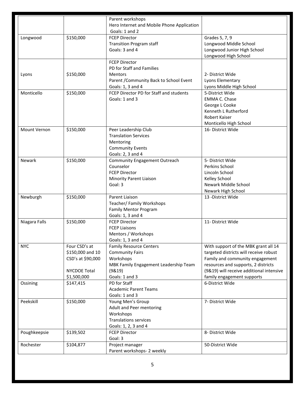|               |                     | Parent workshops                                             |                                          |
|---------------|---------------------|--------------------------------------------------------------|------------------------------------------|
|               |                     | Hero Internet and Mobile Phone Application<br>Goals: 1 and 2 |                                          |
|               |                     |                                                              |                                          |
| Longwood      | \$150,000           | <b>FCEP Director</b>                                         | Grades 5, 7, 9                           |
|               |                     | <b>Transition Program staff</b><br>Goals: 3 and 4            | Longwood Middle School                   |
|               |                     |                                                              | Longwood Junior High School              |
|               |                     |                                                              | Longwood High School                     |
|               |                     | <b>FCEP Director</b><br>PD for Staff and Families            |                                          |
|               |                     | <b>Mentors</b>                                               | 2- District Wide                         |
| Lyons         | \$150,000           |                                                              |                                          |
|               |                     | Parent / Community Back to School Event                      | Lyons Elementary                         |
|               |                     | Goals: 1, 3 and 4                                            | Lyons Middle High School                 |
| Monticello    | \$150,000           | FCEP Director PD for Staff and students                      | 5-District Wide                          |
|               |                     | Goals: 1 and 3                                               | <b>EMMA C. Chase</b>                     |
|               |                     |                                                              | George L Cooke                           |
|               |                     |                                                              | Kenneth L Rutherford                     |
|               |                     |                                                              | Robert Kaiser                            |
|               |                     |                                                              | Monticello High School                   |
| Mount Vernon  | \$150,000           | Peer Leadership Club                                         | 16- District Wide                        |
|               |                     | <b>Translation Services</b>                                  |                                          |
|               |                     | Mentoring                                                    |                                          |
|               |                     | <b>Community Events</b>                                      |                                          |
|               |                     | Goals: 2, 3 and 4                                            |                                          |
| <b>Newark</b> | \$150,000           | <b>Community Engagement Outreach</b>                         | 5- District Wide                         |
|               |                     | Counselor                                                    | Perkins School                           |
|               |                     | <b>FCEP Director</b>                                         | Lincoln School                           |
|               |                     | Minority Parent Liaison                                      | Kelley School                            |
|               |                     | Goal: 3                                                      | Newark Middle School                     |
|               |                     |                                                              | Newark High School                       |
| Newburgh      | \$150,000           | Parent Liaison                                               | 13 - District Wide                       |
|               |                     | Teacher/ Family Workshops                                    |                                          |
|               |                     | <b>Family Mentor Program</b>                                 |                                          |
|               |                     | Goals: 1, 3 and 4                                            |                                          |
| Niagara Falls | \$150,000           | <b>FCEP Director</b>                                         | 11- District Wide                        |
|               |                     | <b>FCEP Liaisons</b>                                         |                                          |
|               |                     | Mentors / Workshops                                          |                                          |
|               |                     | Goals: 1, 3 and 4                                            |                                          |
| <b>NYC</b>    | Four CSD's at       | <b>Family Resource Centers</b>                               | With support of the MBK grant all 14     |
|               | \$150,000 and 10    | <b>Community Fairs</b>                                       | targeted districts will receive robust   |
|               | CSD's at \$90,000   | Workshops                                                    | Family and community engagement          |
|               |                     | MBK Family Engagement Leadership Team                        | resources and supports, 2 districts      |
|               | <b>NYCDOE Total</b> | (98.19)                                                      | (9&19) will receive additional intensive |
|               | \$1,500,000         | Goals: 1 and 3                                               | family engagement supports               |
| Ossining      | \$147,415           | PD for Staff                                                 | 6-District Wide                          |
|               |                     | <b>Academic Parent Teams</b>                                 |                                          |
|               |                     | Goals: 1 and 3                                               |                                          |
| Peekskill     | \$150,000           | Young Men's Group                                            | 7- District Wide                         |
|               |                     | Adult and Peer mentoring                                     |                                          |
|               |                     | Workshops                                                    |                                          |
|               |                     | <b>Translations services</b>                                 |                                          |
|               |                     | Goals: 1, 2, 3 and 4                                         |                                          |
| Poughkeepsie  | \$139,502           | <b>FCEP Director</b>                                         | 8- District Wide                         |
|               |                     | Goal: 3                                                      |                                          |
| Rochester     | \$104,877           | Project manager                                              | 50-District Wide                         |
|               |                     | Parent workshops- 2 weekly                                   |                                          |
|               |                     |                                                              |                                          |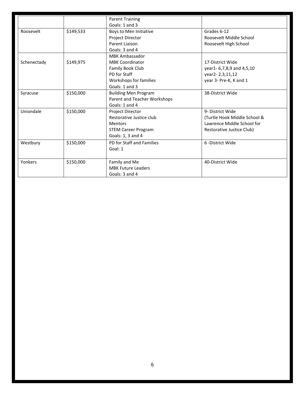|             |           | <b>Parent Training</b><br>Goals: 1 and 3 |                              |
|-------------|-----------|------------------------------------------|------------------------------|
| Roosevelt   | \$149,533 | Boys to Men Initiative                   | Grades 6-12                  |
|             |           | <b>Project Director</b>                  | Roosevelt Middle School      |
|             |           | Parent Liaison                           | Roosevelt High School        |
|             |           | Goals: 3 and 4                           |                              |
|             |           | <b>MBK Ambassador</b>                    |                              |
| Schenectady | \$149,975 | <b>MBK Coordinator</b>                   | 17-District Wide             |
|             |           | Family Book Club                         | year1-6,7,8,9 and 4,5,10     |
|             |           | PD for Staff                             | year2-2,3,11,12              |
|             |           | Workshops for families                   | year 3- Pre-K, K and 1       |
|             |           | Goals: 1 and 3                           |                              |
| Syracuse    | \$150,000 | <b>Building Men Program</b>              | 38-District Wide             |
|             |           | Parent and Teacher Workshops             |                              |
|             |           | Goals: 1 and 4                           |                              |
| Uniondale   | \$150,000 | Project Director                         | 9- District Wide             |
|             |           | Restorative Justice club                 | (Turtle Hook Middle School & |
|             |           | <b>Mentors</b>                           | Lawrence Middle School for   |
|             |           | <b>STEM Career Program</b>               | Restorative Justice Club)    |
|             |           | Goals: 1, 3 and 4                        |                              |
| Westbury    | \$150,000 | PD for Staff and Families                | 6 - District Wide            |
|             |           | Goal: 1                                  |                              |
|             |           |                                          |                              |
| Yonkers     | \$150,000 | Family and Me                            | 40-District Wide             |
|             |           | <b>MBK Future Leaders</b>                |                              |
|             |           | Goals: 3 and 4                           |                              |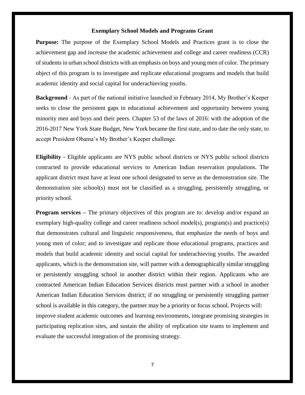### **Exemplary School Models and Programs Grant**

**Purpose:** The purpose of the Exemplary School Models and Practices grant is to close the achievement gap and increase the academic achievement and college and career readiness (CCR) of students in urban school districts with an emphasis on boys and young men of color. The primary object of this program is to investigate and replicate educational programs and models that build academic identity and social capital for underachieving youths.

**Background** - As part of the national initiative launched in February 2014, My Brother's Keeper seeks to close the persistent gaps in educational achievement and opportunity between young minority men and boys and their peers. Chapter 53 of the laws of 2016: with the adoption of the 2016-2017 New York State Budget, New York became the first state, and to date the only state, to accept President Obama's My Brother's Keeper challenge.

**Eligibility -** Eligible applicants are NYS public school districts or NYS public school districts contracted to provide educational services to American Indian reservation populations. The applicant district must have at least one school designated to serve as the demonstration site. The demonstration site school(s) must not be classified as a struggling, persistently struggling, or priority school.

**Program services** – The primary objectives of this program are to: develop and/or expand an exemplary high-quality college and career readiness school model(s), program(s) and practice(s) that demonstrates cultural and linguistic responsiveness, that emphasize the needs of boys and young men of color; and to investigate and replicate those educational programs, practices and models that build academic identity and social capital for underachieving youths. The awarded applicants, which is the demonstration site, will partner with a demographically similar struggling or persistently struggling school in another district within their region. Applicants who are contracted American Indian Education Services districts must partner with a school in another American Indian Education Services district; if no struggling or persistently struggling partner school is available in this category, the partner may be a priority or focus school. Projects will: improve student academic outcomes and learning environments, integrate promising strategies in participating replication sites, and sustain the ability of replication site teams to implement and evaluate the successful integration of the promising strategy.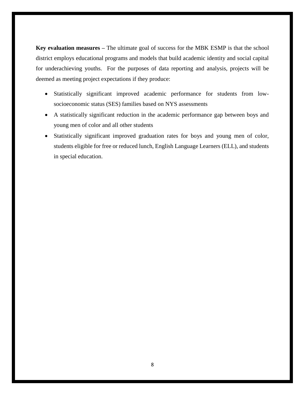**Key evaluation measures –** The ultimate goal of success for the MBK ESMP is that the school district employs educational programs and models that build academic identity and social capital for underachieving youths. For the purposes of data reporting and analysis, projects will be deemed as meeting project expectations if they produce:

- Statistically significant improved academic performance for students from lowsocioeconomic status (SES) families based on NYS assessments
- A statistically significant reduction in the academic performance gap between boys and young men of color and all other students
- Statistically significant improved graduation rates for boys and young men of color, students eligible for free or reduced lunch, English Language Learners (ELL), and students in special education.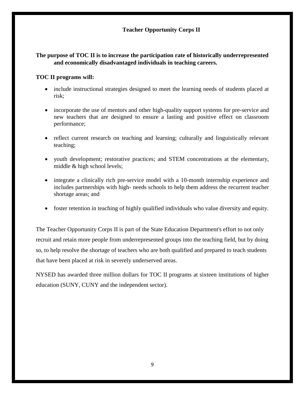### **Teacher Opportunity Corps II**

### **The purpose of TOC II is to increase the participation rate of historically underrepresented and economically disadvantaged individuals in teaching careers.**

### **TOC II programs will:**

- include instructional strategies designed to meet the learning needs of students placed at risk;
- incorporate the use of mentors and other high-quality support systems for pre-service and new teachers that are designed to ensure a lasting and positive effect on classroom performance;
- reflect current research on teaching and learning; culturally and linguistically relevant teaching;
- youth development; restorative practices; and STEM concentrations at the elementary, middle & high school levels;
- integrate a clinically rich pre-service model with a 10-month internship experience and includes partnerships with high- needs schools to help them address the recurrent teacher shortage areas; and
- foster retention in teaching of highly qualified individuals who value diversity and equity.

The Teacher Opportunity Corps II is part of the State Education Department's effort to not only recruit and retain more people from underrepresented groups into the teaching field, but by doing so, to help resolve the shortage of teachers who are both qualified and prepared to teach students that have been placed at risk in severely underserved areas.

NYSED has awarded three million dollars for TOC II programs at sixteen institutions of higher education (SUNY, CUNY and the independent sector).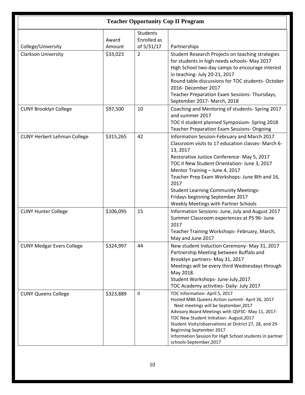| <b>Teacher Opportunity Cop II Program</b> |                 |                                              |                                                                                                                                                                                                                                                                                                                                                                                                                                    |  |  |  |  |  |  |  |
|-------------------------------------------|-----------------|----------------------------------------------|------------------------------------------------------------------------------------------------------------------------------------------------------------------------------------------------------------------------------------------------------------------------------------------------------------------------------------------------------------------------------------------------------------------------------------|--|--|--|--|--|--|--|
| College/University                        | Award<br>Amount | <b>Students</b><br>Enrolled as<br>of 5/31/17 | Partnerships                                                                                                                                                                                                                                                                                                                                                                                                                       |  |  |  |  |  |  |  |
| <b>Clarkson University</b>                | \$33,023        | $\overline{2}$                               | Student Research Projects on teaching strategies<br>for students in high needs schools- May 2017<br>High School two-day camps to encourage interest<br>in teaching- July 20-21, 2017<br>Round table discussions for TOC students- October<br>2016- December 2017<br>Teacher Preparation Exam Sessions-Thursdays,<br>September 2017- March, 2018                                                                                    |  |  |  |  |  |  |  |
| <b>CUNY Brooklyn College</b>              | \$97,500        | 10                                           | Coaching and Mentoring of students- Spring 2017<br>and summer 2017<br>TOC II student planned Symposium- Spring 2018<br><b>Teacher Preparation Exam Sessions- Ongoing</b>                                                                                                                                                                                                                                                           |  |  |  |  |  |  |  |
| <b>CUNY Herbert Lehman College</b>        | \$315,265       | 42                                           | Information Session-February and March 2017<br>Classroom visits to 17 education classes- March 6-<br>13, 2017<br>Restorative Justice Conference- May 5, 2017<br>TOC II New Student Orientation- June 3, 2017<br>Mentor Training - June 4, 2017<br>Teacher Prep Exam Workshops- June 8th and 16,<br>2017<br><b>Student Learning Community Meetings-</b><br>Fridays beginning September 2017<br>Weekly Meetings with Partner Schools |  |  |  |  |  |  |  |
| <b>CUNY Hunter College</b>                | \$106,095       | 15                                           | Information Sessions- June, July and August 2017<br>Summer Classroom experiences at PS 96- June<br>2017<br>Teacher Training Workshops- February, March,<br>May and June 2017                                                                                                                                                                                                                                                       |  |  |  |  |  |  |  |
| <b>CUNY Medgar Evers College</b>          | \$324,997       | 44                                           | New student Induction Ceremony-May 31, 2017<br>Partnership Meeting between Buffalo and<br>Brooklyn partners- May 31, 2017<br>Meetings will be every third Wednesdays through<br>May 2018.<br>Student Workshops- June-July, 2017<br>TOC Academy activities- Daily- July 2017                                                                                                                                                        |  |  |  |  |  |  |  |
| <b>CUNY Queens College</b>                | \$323,889       | $\pmb{0}$                                    | TOC Information- April 5, 2017<br>Hosted MBK Queens Action summit- April 26, 2017<br>Next meetings will be September, 2017<br>Advisory Board Meetings with QSFSC-May 11, 2017-<br>TOC New Student Initiation- August, 2017<br>Student Visits/observations at District 27, 28, and 29-<br>Beginning September 2017<br>Information Session for High School students in partner<br>schools-September,2017                             |  |  |  |  |  |  |  |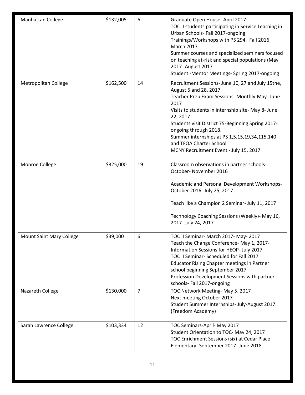| Manhattan College               | \$132,005 | 6              | Graduate Open House- April 2017<br>TOC II students participating in Service Learning in<br>Urban Schools- Fall 2017-ongoing<br>Trainings/Workshops with PS 294. Fall 2016,<br>March 2017<br>Summer courses and specialized seminars focused<br>on teaching at-risk and special populations (May<br>2017- August 2017<br>Student -Mentor Meetings- Spring 2017-ongoing                                     |
|---------------------------------|-----------|----------------|-----------------------------------------------------------------------------------------------------------------------------------------------------------------------------------------------------------------------------------------------------------------------------------------------------------------------------------------------------------------------------------------------------------|
| Metropolitan College            | \$162,500 | 14             | Recruitment Sessions- June 10, 27 and July 15the,<br>August 5 and 28, 2017<br>Teacher Prep Exam Sessions- Monthly-May- June<br>2017<br>Visits to students in internship site- May 8- June<br>22, 2017<br>Students visit District 75-Beginning Spring 2017-<br>ongoing through 2018.<br>Summer internships at PS 1,5,15,19,34,115,140<br>and TFOA Charter School<br>MCNY Recruitment Event - July 15, 2017 |
| Monroe College                  | \$325,000 | 19             | Classroom observations in partner schools-<br>October- November 2016<br>Academic and Personal Development Workshops-<br>October 2016- July 25, 2017<br>Teach like a Champion 2 Seminar- July 11, 2017<br>Technology Coaching Sessions (Weekly)- May 16,<br>2017- July 24, 2017                                                                                                                            |
| <b>Mount Saint Mary College</b> | \$39,000  | 6              | TOC II Seminar- March 2017- May-2017<br>Teach the Change Conference- May 1, 2017-<br>Information Sessions for HEOP- July 2017<br>TOC II Seminar- Scheduled for Fall 2017<br><b>Educator Rising Chapter meetings in Partner</b><br>school beginning September 2017<br>Profession Development Sessions with partner<br>schools- Fall 2017-ongoing                                                           |
| Nazareth College                | \$130,000 | $\overline{7}$ | TOC Network Meeting-May 5, 2017<br>Next meeting October 2017<br>Student Summer Internships- July-August 2017.<br>(Freedom Academy)                                                                                                                                                                                                                                                                        |
| Sarah Lawrence College          | \$103,334 | 12             | TOC Seminars-April- May 2017<br>Student Orientation to TOC- May 24, 2017<br>TOC Enrichment Sessions (six) at Cedar Place<br>Elementary- September 2017- June 2018.                                                                                                                                                                                                                                        |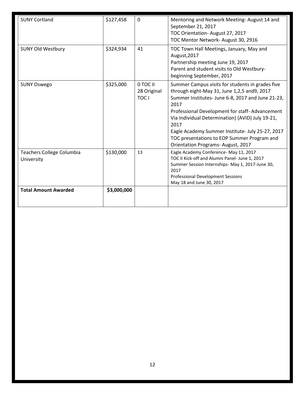| <b>SUNY Cortland</b>                           | \$127,458   | $\mathbf 0$                            | Mentoring and Network Meeting-August 14 and<br>September 21, 2017<br>TOC Orientation- August 27, 2017<br>TOC Mentor Network- August 30, 2916                                                                                                                                                                                                                                                                       |
|------------------------------------------------|-------------|----------------------------------------|--------------------------------------------------------------------------------------------------------------------------------------------------------------------------------------------------------------------------------------------------------------------------------------------------------------------------------------------------------------------------------------------------------------------|
| <b>SUNY Old Westbury</b>                       | \$324,934   | 41                                     | TOC Town Hall Meetings, January, May and<br>August, 2017<br>Partnership meeting June 19, 2017<br>Parent and student visits to Old Westbury-<br>beginning September, 2017                                                                                                                                                                                                                                           |
| <b>SUNY Oswego</b>                             | \$325,000   | 0 TOC II<br>28 Original<br><b>TOC1</b> | Summer Campus visits for students in grades five<br>through eight-May 31, June 1,2,5 and9, 2017<br>Summer Institutes-June 6-8, 2017 and June 21-23,<br>2017<br>Professional Development for staff-Advancement<br>Via Individual Determination) (AVID) July 19-21,<br>2017<br>Eagle Academy Summer Institute- July 25-27, 2017<br>TOC presentations to EOP Summer Program and<br>Orientation Programs- August, 2017 |
| <b>Teachers College Columbia</b><br>University | \$130,000   | 13                                     | Eagle Academy Conference- May 11, 2017<br>TOC II Kick-off and Alumni Panel- June 1, 2017<br>Summer Session Internships- May 1, 2017-June 30,<br>2017<br><b>Professional Development Sessions</b><br>May 18 and June 30, 2017                                                                                                                                                                                       |
| <b>Total Amount Awarded</b>                    | \$3,000,000 |                                        |                                                                                                                                                                                                                                                                                                                                                                                                                    |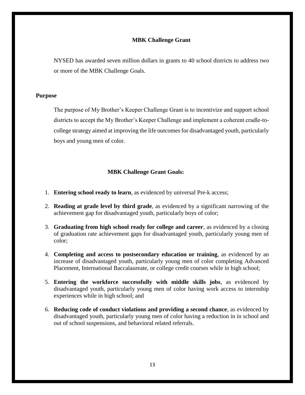### **MBK Challenge Grant**

NYSED has awarded seven million dollars in grants to 40 school districts to address two or more of the MBK Challenge Goals.

### **Purpose**

The purpose of My Brother's Keeper Challenge Grant is to incentivize and support school districts to accept the My Brother's Keeper Challenge and implement a coherent cradle-tocollege strategy aimed at improving the life outcomes for disadvantaged youth, particularly boys and young men of color.

### **MBK Challenge Grant Goals:**

- 1. **Entering school ready to learn**, as evidenced by universal Pre-k access;
- 2. **Reading at grade level by third grade**, as evidenced by a significant narrowing of the achievement gap for disadvantaged youth, particularly boys of color;
- 3. **Graduating from high school ready for college and career**, as evidenced by a closing of graduation rate achievement gaps for disadvantaged youth, particularly young men of color;
- 4. **Completing and access to postsecondary education or training**, as evidenced by an increase of disadvantaged youth, particularly young men of color completing Advanced Placement, International Baccalaureate, or college credit courses while in high school;
- 5. **Entering the workforce successfully with middle skills jobs**, as evidenced by disadvantaged youth, particularly young men of color having work access to internship experiences while in high school; and
- 6. **Reducing code of conduct violations and providing a second chance**, as evidenced by disadvantaged youth, particularly young men of color having a reduction in in school and out of school suspensions, and behavioral related referrals.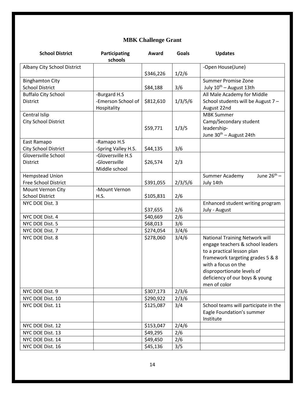# **MBK Challenge Grant**

| <b>School District</b>      | Participating       | Award     | <b>Goals</b> | <b>Updates</b>                        |
|-----------------------------|---------------------|-----------|--------------|---------------------------------------|
|                             | schools             |           |              |                                       |
| Albany City School District |                     |           |              | -Open House(June)                     |
|                             |                     | \$346,226 | 1/2/6        |                                       |
| <b>Binghamton City</b>      |                     |           |              | <b>Summer Promise Zone</b>            |
| <b>School District</b>      |                     | \$84,188  | 3/6          | July 10 <sup>th</sup> - August 13th   |
| <b>Buffalo City School</b>  | -Burgard H.S        |           |              | All Male Academy for Middle           |
| <b>District</b>             | -Emerson School of  | \$812,610 | 1/3/5/6      | School students will be August 7 -    |
|                             | Hospitality         |           |              | August 22nd                           |
| Central Islip               |                     |           |              | <b>MBK Summer</b>                     |
| <b>City School District</b> |                     |           |              | Camp/Secondary student                |
|                             |                     | \$59,771  | 1/3/5        | leadership-                           |
|                             |                     |           |              | June 30 <sup>th</sup> - August 24th   |
| East Ramapo                 | -Ramapo H.S         |           |              |                                       |
| <b>City School District</b> | -Spring Valley H.S. | \$44,135  | 3/6          |                                       |
| Gloversville School         | -Gloversville H.S   |           |              |                                       |
| <b>District</b>             | -Gloversville       | \$26,574  | 2/3          |                                       |
|                             | Middle school       |           |              |                                       |
| Hempstead Union             |                     |           |              | June $26^{th}$ –<br>Summer Academy    |
| Free School District        |                     | \$391,055 | 2/3/5/6      | July 14th                             |
| Mount Vernon City           | -Mount Vernon       |           |              |                                       |
| <b>School District</b>      | H.S.                | \$105,831 | 2/6          |                                       |
| NYC DOE Dist. 3             |                     |           |              | Enhanced student writing program      |
|                             |                     | \$37,655  | 2/6          | July - August                         |
| NYC DOE Dist. 4             |                     | \$40,669  | 2/6          |                                       |
| NYC DOE Dist. 5             |                     | \$68,013  | 3/6          |                                       |
| NYC DOE Dist. 7             |                     | \$274,054 | 3/4/6        |                                       |
| NYC DOE Dist. 8             |                     | \$278,060 | 3/4/6        | <b>National Training Network will</b> |
|                             |                     |           |              | engage teachers & school leaders      |
|                             |                     |           |              | to a practical lesson plan            |
|                             |                     |           |              | framework targeting grades 5 & 8      |
|                             |                     |           |              | with a focus on the                   |
|                             |                     |           |              | disproportionate levels of            |
|                             |                     |           |              | deficiency of our boys & young        |
|                             |                     |           |              | men of color                          |
| NYC DOE Dist. 9             |                     | \$307,173 | 2/3/6        |                                       |
| NYC DOE Dist. 10            |                     | \$290,922 | 2/3/6        |                                       |
| NYC DOE Dist. 11            |                     | \$125,087 | 3/4          | School teams will participate in the  |
|                             |                     |           |              | Eagle Foundation's summer             |
|                             |                     |           |              | Institute                             |
| NYC DOE Dist. 12            |                     | \$153,047 | 2/4/6        |                                       |
| NYC DOE Dist. 13            |                     | \$49,295  | 2/6          |                                       |
| NYC DOE Dist. 14            |                     | \$49,450  | 2/6          |                                       |
| NYC DOE Dist. 16            |                     | \$45,136  | 3/5          |                                       |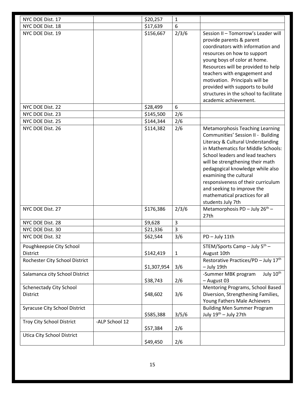| NYC DOE Dist. 17                                                       |                | \$20,257    | $\mathbf{1}$ |                                                                                                                                                                                                                                                                                                                                                                                                                          |
|------------------------------------------------------------------------|----------------|-------------|--------------|--------------------------------------------------------------------------------------------------------------------------------------------------------------------------------------------------------------------------------------------------------------------------------------------------------------------------------------------------------------------------------------------------------------------------|
| NYC DOE Dist. 18                                                       |                | \$17,639    | 6            |                                                                                                                                                                                                                                                                                                                                                                                                                          |
| NYC DOE Dist. 19                                                       |                | \$156,667   | 2/3/6        | Session II - Tomorrow's Leader will<br>provide parents & parent<br>coordinators with information and<br>resources on how to support<br>young boys of color at home.<br>Resources will be provided to help<br>teachers with engagement and<br>motivation. Principals will be<br>provided with supports to build<br>structures in the school to facilitate<br>academic achievement.                                        |
| NYC DOE Dist. 22                                                       |                | \$28,499    | 6            |                                                                                                                                                                                                                                                                                                                                                                                                                          |
| NYC DOE Dist. 23                                                       |                | \$145,500   | 2/6          |                                                                                                                                                                                                                                                                                                                                                                                                                          |
| NYC DOE Dist. 25                                                       |                | \$144,344   | 2/6          |                                                                                                                                                                                                                                                                                                                                                                                                                          |
| NYC DOE Dist. 26                                                       |                | \$114,382   | 2/6          | <b>Metamorphosis Teaching Learning</b><br>Communities' Session II - Building<br>Literacy & Cultural Understanding<br>in Mathematics for Middle Schools:<br>School leaders and lead teachers<br>will be strengthening their math<br>pedagogical knowledge while also<br>examining the cultural<br>responsiveness of their curriculum<br>and seeking to improve the<br>mathematical practices for all<br>students July 7th |
| NYC DOE Dist. 27                                                       |                | \$176,386   | 2/3/6        | Metamorphosis PD - July $26^{th}$ -<br>27th                                                                                                                                                                                                                                                                                                                                                                              |
| NYC DOE Dist. 28                                                       |                | \$9,628     | 3            |                                                                                                                                                                                                                                                                                                                                                                                                                          |
| NYC DOE Dist. 30                                                       |                | \$21,336    | 3            |                                                                                                                                                                                                                                                                                                                                                                                                                          |
| NYC DOE Dist. 32                                                       |                | \$62,544    | 3/6          | PD - July 11th                                                                                                                                                                                                                                                                                                                                                                                                           |
| Poughkeepsie City School<br>District<br>Rochester City School District |                | \$142,419   | $\mathbf{1}$ | STEM/Sports Camp - July $5^{th}$ -<br>August 10th<br>Restorative Practices/PD - July 17th                                                                                                                                                                                                                                                                                                                                |
|                                                                        |                | \$1,307,954 | 3/6          | - July 19th                                                                                                                                                                                                                                                                                                                                                                                                              |
| Salamanca city School District                                         |                | \$38,743    | 2/6          | July 10 <sup>th</sup><br>-Summer MBK program<br>- August 03                                                                                                                                                                                                                                                                                                                                                              |
| <b>Schenectady City School</b><br>District                             |                | \$48,602    | 3/6          | Mentoring Programs, School Based<br>Diversion, Strengthening Families,<br>Young Fathers Male Achievers                                                                                                                                                                                                                                                                                                                   |
| <b>Syracuse City School District</b>                                   |                | \$585,388   | 3/5/6        | <b>Building Men Summer Program</b><br>July 19th - July 27th                                                                                                                                                                                                                                                                                                                                                              |
| <b>Troy City School District</b>                                       | -ALP School 12 | \$57,384    | 2/6          |                                                                                                                                                                                                                                                                                                                                                                                                                          |
| <b>Utica City School District</b>                                      |                | \$49,450    | 2/6          |                                                                                                                                                                                                                                                                                                                                                                                                                          |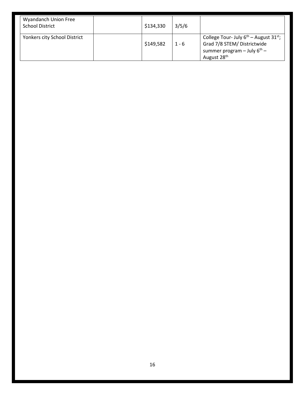| Wyandanch Union Free<br><b>School District</b> | \$134,330 | 3/5/6   |                                                                                                                                          |
|------------------------------------------------|-----------|---------|------------------------------------------------------------------------------------------------------------------------------------------|
| Yonkers city School District                   | \$149,582 | $1 - 6$ | College Tour- July $6^{th}$ – August 31st;<br>Grad 7/8 STEM/ Districtwide<br>summer program – July $6^{th}$ –<br>August 28 <sup>th</sup> |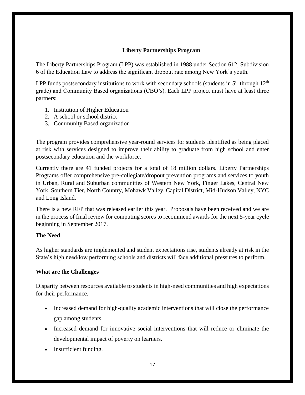### **Liberty Partnerships Program**

The Liberty Partnerships Program (LPP) was established in 1988 under Section 612, Subdivision 6 of the Education Law to address the significant dropout rate among New York's youth.

LPP funds postsecondary institutions to work with secondary schools (students in  $5<sup>th</sup>$  through  $12<sup>th</sup>$ grade) and Community Based organizations (CBO's). Each LPP project must have at least three partners:

- 1. Institution of Higher Education
- 2. A school or school district
- 3. Community Based organization

The program provides comprehensive year-round services for students identified as being placed at risk with services designed to improve their ability to graduate from high school and enter postsecondary education and the workforce.

Currently there are 41 funded projects for a total of 18 million dollars. Liberty Partnerships Programs offer comprehensive pre-collegiate/dropout prevention programs and services to youth in Urban, Rural and Suburban communities of Western New York, Finger Lakes, Central New York, Southern Tier, North Country, Mohawk Valley, Capital District, Mid-Hudson Valley, NYC and Long Island.

There is a new RFP that was released earlier this year. Proposals have been received and we are in the process of final review for computing scores to recommend awards for the next 5-year cycle beginning in September 2017.

### **The Need**

As higher standards are implemented and student expectations rise, students already at risk in the State's high need/low performing schools and districts will face additional pressures to perform.

### **What are the Challenges**

Disparity between resources available to students in high-need communities and high expectations for their performance.

- Increased demand for high-quality academic interventions that will close the performance gap among students.
- Increased demand for innovative social interventions that will reduce or eliminate the developmental impact of poverty on learners.
- Insufficient funding.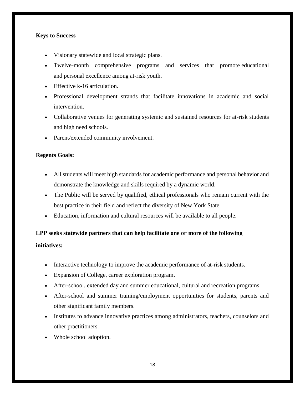### **Keys to Success**

- Visionary statewide and local strategic plans.
- Twelve-month comprehensive programs and services that promote educational and personal excellence among at-risk youth.
- Effective k-16 articulation.
- Professional development strands that facilitate innovations in academic and social intervention.
- Collaborative venues for generating systemic and sustained resources for at-risk students and high need schools.
- Parent/extended community involvement.

### **Regents Goals:**

- All students will meet high standards for academic performance and personal behavior and demonstrate the knowledge and skills required by a dynamic world.
- The Public will be served by qualified, ethical professionals who remain current with the best practice in their field and reflect the diversity of New York State.
- Education, information and cultural resources will be available to all people.

### **LPP seeks statewide partners that can help facilitate one or more of the following**

### **initiatives:**

- Interactive technology to improve the academic performance of at-risk students.
- Expansion of College, career exploration program.
- After-school, extended day and summer educational, cultural and recreation programs.
- After-school and summer training/employment opportunities for students, parents and other significant family members.
- Institutes to advance innovative practices among administrators, teachers, counselors and other practitioners.
- Whole school adoption.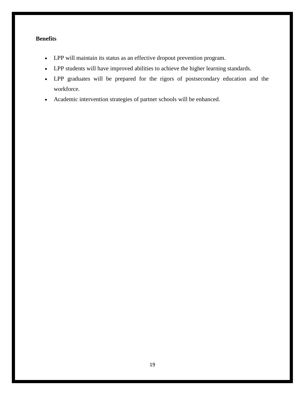### **Benefits**

- LPP will maintain its status as an effective dropout prevention program.
- LPP students will have improved abilities to achieve the higher learning standards.
- LPP graduates will be prepared for the rigors of postsecondary education and the workforce.
- Academic intervention strategies of partner schools will be enhanced.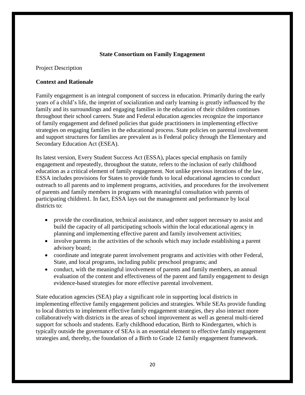### **State Consortium on Family Engagement**

Project Description

### **Context and Rationale**

Family engagement is an integral component of success in education. Primarily during the early years of a child's life, the imprint of socialization and early learning is greatly influenced by the family and its surroundings and engaging families in the education of their children continues throughout their school careers. State and Federal education agencies recognize the importance of family engagement and defined policies that guide practitioners in implementing effective strategies on engaging families in the educational process. State policies on parental involvement and support structures for families are prevalent as is Federal policy through the Elementary and Secondary Education Act (ESEA).

Its latest version, Every Student Success Act (ESSA), places special emphasis on family engagement and repeatedly, throughout the statute, refers to the inclusion of early childhood education as a critical element of family engagement. Not unlike previous iterations of the law, ESSA includes provisions for States to provide funds to local educational agencies to conduct outreach to all parents and to implement programs, activities, and procedures for the involvement of parents and family members in programs with meaningful consultation with parents of participating children1. In fact, ESSA lays out the management and performance by local districts to:

- provide the coordination, technical assistance, and other support necessary to assist and build the capacity of all participating schools within the local educational agency in planning and implementing effective parent and family involvement activities;
- involve parents in the activities of the schools which may include establishing a parent advisory board;
- coordinate and integrate parent involvement programs and activities with other Federal, State, and local programs, including public preschool programs; and
- conduct, with the meaningful involvement of parents and family members, an annual evaluation of the content and effectiveness of the parent and family engagement to design evidence-based strategies for more effective parental involvement.

State education agencies (SEA) play a significant role in supporting local districts in implementing effective family engagement policies and strategies. While SEAs provide funding to local districts to implement effective family engagement strategies, they also interact more collaboratively with districts in the areas of school improvement as well as general multi-tiered support for schools and students. Early childhood education, Birth to Kindergarten, which is typically outside the governance of SEAs is an essential element to effective family engagement strategies and, thereby, the foundation of a Birth to Grade 12 family engagement framework.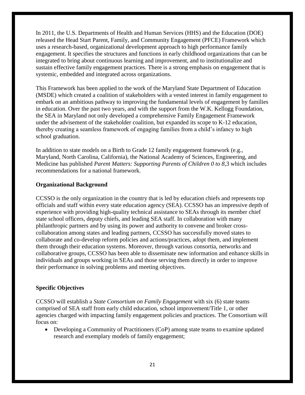In 2011, the U.S. Departments of Health and Human Services (HHS) and the Education (DOE) released the Head Start Parent, Family, and Community Engagement (PFCE) Framework which uses a research-based, organizational development approach to high performance family engagement. It specifies the structures and functions in early childhood organizations that can be integrated to bring about continuous learning and improvement, and to institutionalize and sustain effective family engagement practices. There is a strong emphasis on engagement that is systemic, embedded and integrated across organizations.

This Framework has been applied to the work of the Maryland State Department of Education (MSDE) which created a coalition of stakeholders with a vested interest in family engagement to embark on an ambitious pathway to improving the fundamental levels of engagement by families in education. Over the past two years, and with the support from the W.K. Kellogg Foundation, the SEA in Maryland not only developed a comprehensive Family Engagement Framework under the advisement of the stakeholder coalition, but expanded its scope to K-12 education, thereby creating a seamless framework of engaging families from a child's infancy to high school graduation.

In addition to state models on a Birth to Grade 12 family engagement framework (e.g., Maryland, North Carolina, California), the National Academy of Sciences, Engineering, and Medicine has published *Parent Matters: Supporting Parents of Children 0 to 8*,3 which includes recommendations for a national framework.

### **Organizational Background**

CCSSO is the only organization in the country that is led by education chiefs and represents top officials and staff within every state education agency (SEA). CCSSO has an impressive depth of experience with providing high-quality technical assistance to SEAs through its member chief state school officers, deputy chiefs, and leading SEA staff. In collaboration with many philanthropic partners and by using its power and authority to convene and broker crosscollaboration among states and leading partners, CCSSO has successfully moved states to collaborate and co-develop reform policies and actions/practices, adopt them, and implement them through their education systems. Moreover, through various consortia, networks and collaborative groups, CCSSO has been able to disseminate new information and enhance skills in individuals and groups working in SEAs and those serving them directly in order to improve their performance in solving problems and meeting objectives.

### **Specific Objectives**

CCSSO will establish a *State Consortium on Family Engagement* with six (6) state teams comprised of SEA staff from early child education, school improvement/Title 1, or other agencies charged with impacting family engagement policies and practices. The Consortium will focus on:

• Developing a Community of Practitioners (CoP) among state teams to examine updated research and exemplary models of family engagement;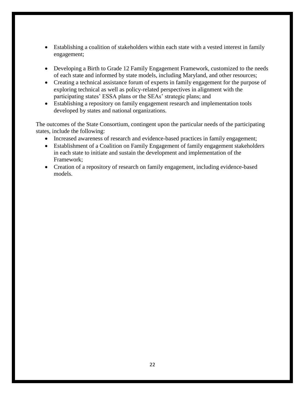- Establishing a coalition of stakeholders within each state with a vested interest in family engagement;
- Developing a Birth to Grade 12 Family Engagement Framework, customized to the needs of each state and informed by state models, including Maryland, and other resources;
- Creating a technical assistance forum of experts in family engagement for the purpose of exploring technical as well as policy-related perspectives in alignment with the participating states' ESSA plans or the SEAs' strategic plans; and
- Establishing a repository on family engagement research and implementation tools developed by states and national organizations.

The outcomes of the State Consortium, contingent upon the particular needs of the participating states, include the following:

- Increased awareness of research and evidence-based practices in family engagement;
- Establishment of a Coalition on Family Engagement of family engagement stakeholders in each state to initiate and sustain the development and implementation of the Framework;
- Creation of a repository of research on family engagement, including evidence-based models.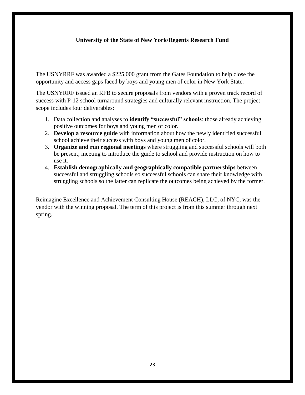### **University of the State of New York/Regents Research Fund**

The USNYRRF was awarded a \$225,000 grant from the Gates Foundation to help close the opportunity and access gaps faced by boys and young men of color in New York State.

The USNYRRF issued an RFB to secure proposals from vendors with a proven track record of success with P-12 school turnaround strategies and culturally relevant instruction. The project scope includes four deliverables:

- 1. Data collection and analyses to **identify "successful" schools**: those already achieving positive outcomes for boys and young men of color.
- 2. **Develop a resource guide** with information about how the newly identified successful school achieve their success with boys and young men of color.
- 3. **Organize and run regional meetings** where struggling and successful schools will both be present; meeting to introduce the guide to school and provide instruction on how to use it.
- 4. **Establish demographically and geographically compatible partnerships** between successful and struggling schools so successful schools can share their knowledge with struggling schools so the latter can replicate the outcomes being achieved by the former.

Reimagine Excellence and Achievement Consulting House (REACH), LLC, of NYC, was the vendor with the winning proposal. The term of this project is from this summer through next spring.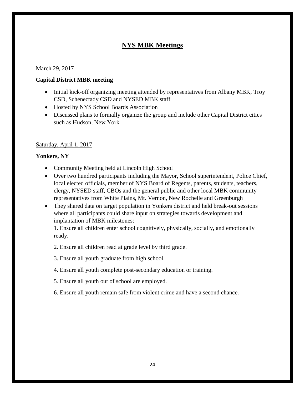### **NYS MBK Meetings**

### March 29, 2017

### **Capital District MBK meeting**

- Initial kick-off organizing meeting attended by representatives from Albany MBK, Troy CSD, Schenectady CSD and NYSED MBK staff
- Hosted by NYS School Boards Association
- Discussed plans to formally organize the group and include other Capital District cities such as Hudson, New York

### Saturday, April 1, 2017

### **Yonkers, NY**

- Community Meeting held at Lincoln High School
- Over two hundred participants including the Mayor, School superintendent, Police Chief, local elected officials, member of NYS Board of Regents, parents, students, teachers, clergy, NYSED staff, CBOs and the general public and other local MBK community representatives from White Plains, Mt. Vernon, New Rochelle and Greenburgh
- They shared data on target population in Yonkers district and held break-out sessions where all participants could share input on strategies towards development and implantation of MBK milestones:

1. Ensure all children enter school cognitively, physically, socially, and emotionally ready.

2. Ensure all children read at grade level by third grade.

- 3. Ensure all youth graduate from high school.
- 4. Ensure all youth complete post-secondary education or training.
- 5. Ensure all youth out of school are employed.
- 6. Ensure all youth remain safe from violent crime and have a second chance.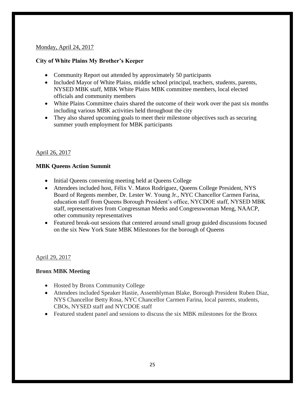### Monday, April 24, 2017

### **City of White Plains My Brother's Keeper**

- Community Report out attended by approximately 50 participants
- Included Mayor of White Plains, middle school principal, teachers, students, parents, NYSED MBK staff, MBK White Plains MBK committee members, local elected officials and community members
- White Plains Committee chairs shared the outcome of their work over the past six months including various MBK activities held throughout the city
- They also shared upcoming goals to meet their milestone objectives such as securing summer youth employment for MBK participants

### April 26, 2017

### **MBK Queens Action Summit**

- Initial Queens convening meeting held at Queens College
- Attendees included host, Félix V. Matos Rodríguez, Queens College President, NYS Board of Regents member, Dr. Lester W. Young Jr., NYC Chancellor Carmen Farina, education staff from Queens Borough President's office, NYCDOE staff, NYSED MBK staff, representatives from Congressman Meeks and Congresswoman Meng, NAACP, other community representatives
- Featured break-out sessions that centered around small group guided discussions focused on the six New York State MBK Milestones for the borough of Queens

### April 29, 2017

### **Bronx MBK Meeting**

- Hosted by Bronx Community College
- Attendees included Speaker Hastie, Assemblyman Blake, Borough President Ruben Diaz, NYS Chancellor Betty Rosa, NYC Chancellor Carmen Farina, local parents, students, CBOs, NYSED staff and NYCDOE staff
- Featured student panel and sessions to discuss the six MBK milestones for the Bronx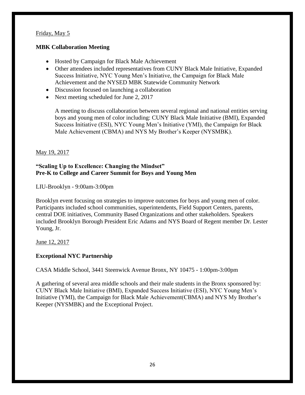### Friday, May 5

### **MBK Collaboration Meeting**

- Hosted by Campaign for Black Male Achievement
- Other attendees included representatives from CUNY Black Male Initiative, Expanded Success Initiative, NYC Young Men's Initiative, the Campaign for Black Male Achievement and the NYSED MBK Statewide Community Network
- Discussion focused on launching a collaboration
- Next meeting scheduled for June 2, 2017

A meeting to discuss collaboration between several regional and national entities serving boys and young men of color including: CUNY Black Male Initiative (BMI), Expanded Success Initiative (ESI), NYC Young Men's Initiative (YMI), the Campaign for Black Male Achievement (CBMA) and NYS My Brother's Keeper (NYSMBK).

### May 19, 2017

### **"Scaling Up to Excellence: Changing the Mindset" Pre-K to College and Career Summit for Boys and Young Men**

LIU-Brooklyn - 9:00am-3:00pm

Brooklyn event focusing on strategies to improve outcomes for boys and young men of color. Participants included school communities, superintendents, Field Support Centers, parents, central DOE initiatives, Community Based Organizations and other stakeholders. Speakers included Brooklyn Borough President Eric Adams and NYS Board of Regent member Dr. Lester Young, Jr.

June 12, 2017

### **Exceptional NYC Partnership**

CASA Middle School, 3441 Steenwick Avenue Bronx, NY 10475 - 1:00pm-3:00pm

A gathering of several area middle schools and their male students in the Bronx sponsored by: CUNY Black Male Initiative (BMI), Expanded Success Initiative (ESI), NYC Young Men's Initiative (YMI), the Campaign for Black Male Achievement(CBMA) and NYS My Brother's Keeper (NYSMBK) and the Exceptional Project.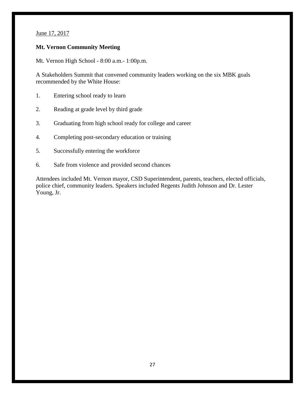June 17, 2017

### **Mt. Vernon Community Meeting**

Mt. Vernon High School **-** 8:00 a.m.- 1:00p.m.

A Stakeholders Summit that convened community leaders working on the six MBK goals recommended by the White House:

- 1. Entering school ready to learn
- 2. Reading at grade level by third grade
- 3. Graduating from high school ready for college and career
- 4. Completing post-secondary education or training
- 5. Successfully entering the workforce
- 6. Safe from violence and provided second chances

Attendees included Mt. Vernon mayor, CSD Superintendent, parents, teachers, elected officials, police chief, community leaders. Speakers included Regents Judith Johnson and Dr. Lester Young, Jr.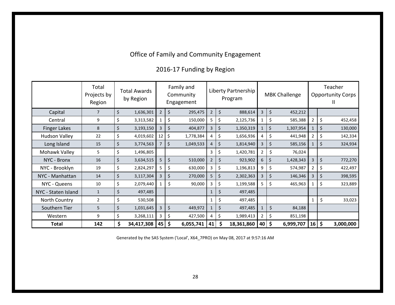# Office of Family and Community Engagement

# 2016-17 Funding by Region

|                                                                               | Total<br>Projects by<br>Region |         | <b>Total Awards</b><br>by Region |                | Family and<br>Community<br>Engagement | Liberty Partnership<br>Program |    |            |                | <b>MBK Challenge</b>    |                       | Teacher<br><b>Opportunity Corps</b><br>Ш |           |  |  |
|-------------------------------------------------------------------------------|--------------------------------|---------|----------------------------------|----------------|---------------------------------------|--------------------------------|----|------------|----------------|-------------------------|-----------------------|------------------------------------------|-----------|--|--|
| Capital                                                                       | $\overline{7}$                 | \$      | 1,636,301                        | $\overline{2}$ | \$<br>295,475                         | $\overline{2}$                 | \$ | 888,614    | $\overline{3}$ | $\zeta$<br>452,212      |                       |                                          |           |  |  |
| Central                                                                       | 9                              | \$      | 3,313,582                        | $\mathbf{1}$   | \$<br>150,000                         | 5 <sub>1</sub>                 | \$ | 2,125,736  | $\mathbf{1}$   | \$<br>585,388           | $\overline{2}$        | \$                                       | 452,458   |  |  |
| <b>Finger Lakes</b>                                                           | 8                              | \$      | 3,193,150                        | $\overline{3}$ | $\zeta$<br>404,877                    | $\overline{3}$                 | \$ | 1,350,319  | $\mathbf{1}$   | $\zeta$<br>1,307,954    | $\mathbf{1}$          | \$                                       | 130,000   |  |  |
| <b>Hudson Valley</b>                                                          | 22                             | \$      | 4,019,602                        | 12             | $\boldsymbol{\zeta}$<br>1,778,384     | 4                              | \$ | 1,656,936  | $\overline{4}$ | \$<br>441,948           | $\overline{a}$        | \$                                       | 142,334   |  |  |
| Long Island                                                                   | 15                             | \$      | 3,774,563                        | $\overline{7}$ | $\boldsymbol{\zeta}$<br>1,049,533     | $\overline{4}$                 | \$ | 1,814,940  | $\overline{3}$ | \$<br>585,156           | $\mathbf{1}$          | \$                                       | 324,934   |  |  |
| Mohawk Valley                                                                 | 5                              | \$      | 1,496,805                        |                |                                       | 3                              | \$ | 1,420,781  | $\overline{2}$ | \$<br>76,024            |                       |                                          |           |  |  |
| NYC - Bronx                                                                   | 16                             | $\zeta$ | 3,634,515                        | 5              | $\boldsymbol{\zeta}$<br>510,000       | $\overline{2}$                 | \$ | 923,902    | 6              | $\zeta$<br>1,428,343    | $\overline{3}$        | \$                                       | 772,270   |  |  |
| NYC - Brooklyn                                                                | 19                             | \$      | 2,824,297                        | 5              | \$<br>630,000                         | $\mathbf{3}$                   | \$ | 1,196,813  | 9              | \$<br>574,987           | $\overline{2}$        | \$                                       | 422,497   |  |  |
| NYC - Manhattan                                                               | 14                             | \$      | 3,117,304                        | $\overline{3}$ | \$<br>270,000                         | 5 <sup>1</sup>                 | \$ | 2,302,363  | $\overline{3}$ | \$<br>146,346           | $\overline{3}$        | \$                                       | 398,595   |  |  |
| NYC - Queens                                                                  | 10                             | \$      | 2,079,440                        | $\mathbf{1}$   | \$<br>90,000                          | $\mathbf{3}$                   | \$ | 1,199,588  | $5\phantom{.}$ | \$<br>465,963           | $\mathbf{1}$          | \$                                       | 323,889   |  |  |
| NYC - Staten Island                                                           | $\mathbf{1}$                   | \$      | 497,485                          |                |                                       | $\mathbf{1}$                   | \$ | 497,485    |                |                         |                       |                                          |           |  |  |
| North Country                                                                 | $\overline{2}$                 | \$      | 530,508                          |                |                                       | $\mathbf{1}$                   | \$ | 497,485    |                |                         | $\mathbf{1}$          | \$                                       | 33,023    |  |  |
| Southern Tier                                                                 | 5                              | \$      | 1,031,645                        | $\overline{3}$ | \$<br>449,972                         | $\mathbf{1}$                   | \$ | 497,485    | $\mathbf{1}$   | \$<br>84,188            |                       |                                          |           |  |  |
| Western                                                                       | 9                              | \$      | 3,268,111                        | $\mathbf{3}$   | \$<br>427,500                         | 4                              | \$ | 1,989,413  | $\overline{2}$ | \$<br>851,198           |                       |                                          |           |  |  |
| <b>Total</b>                                                                  | 142                            | \$      | 34,417,308                       | 45             | $\ddot{\bm{\zeta}}$<br>6,055,741      | 41                             | \$ | 18,361,860 | 40             | $\vert$ \$<br>6,999,707 | $16 \mid \frac{1}{2}$ |                                          | 3,000,000 |  |  |
| Generated by the SAS System ('Local', X64_7PRO) on May 08, 2017 at 9:57:16 AM |                                |         |                                  |                |                                       |                                |    |            |                |                         |                       |                                          |           |  |  |
|                                                                               |                                |         |                                  |                | 28                                    |                                |    |            |                |                         |                       |                                          |           |  |  |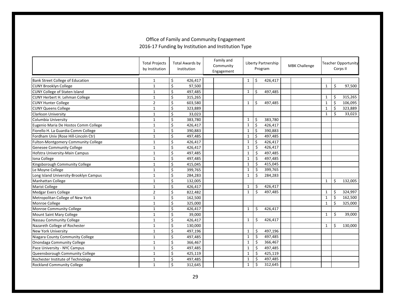|                                        | <b>Total Projects</b><br>by Institution | <b>Total Awards by</b><br>Institution | Family and<br>Community<br>Engagement | Liberty Partnership<br>Program |                      |         | <b>MBK Challenge</b> |              |    | <b>Teacher Opportunity</b><br>Corps II |  |
|----------------------------------------|-----------------------------------------|---------------------------------------|---------------------------------------|--------------------------------|----------------------|---------|----------------------|--------------|----|----------------------------------------|--|
| Bank Street College of Education       | $\mathbf{1}$                            | \$<br>426,417                         |                                       | $\mathbf{1}$                   | \$                   | 426,417 |                      |              |    |                                        |  |
| <b>CUNY Brooklyn College</b>           | $1\,$                                   | \$<br>97,500                          |                                       |                                |                      |         |                      | $\mathbf{1}$ | \$ | 97,500                                 |  |
| <b>CUNY College of Staten Island</b>   | $1\,$                                   | \$<br>497,485                         |                                       | $\mathbf{1}$                   | \$                   | 497,485 |                      |              |    |                                        |  |
| <b>CUNY Herbert H. Lehman College</b>  | $\mathbf 1$                             | $\overline{\xi}$<br>315,265           |                                       |                                |                      |         |                      | $\mathbf{1}$ | Ś  | 315,265                                |  |
| <b>CUNY Hunter College</b>             | $\overline{2}$                          | Ś<br>603,580                          |                                       | $\mathbf{1}$                   | Ŝ.                   | 497,485 |                      | $\mathbf{1}$ | Ś  | 106,095                                |  |
| <b>CUNY Queens College</b>             | $\mathbf 1$                             | \$<br>323,889                         |                                       |                                |                      |         |                      | $\mathbf{1}$ | \$ | 323,889                                |  |
| <b>Clarkson University</b>             | $\mathbf{1}$                            | \$<br>33,023                          |                                       |                                |                      |         |                      | $\mathbf{1}$ | \$ | 33,023                                 |  |
| Columbia University                    | $1\,$                                   | \$<br>383,780                         |                                       | $\mathbf{1}$                   | \$                   | 383,780 |                      |              |    |                                        |  |
| Eugenio Maria De Hostos Comm College   | $\mathbf{1}$                            | \$<br>426,417                         |                                       | $\mathbf{1}$                   | \$                   | 426,417 |                      |              |    |                                        |  |
| Fiorello H. La Guardia Comm College    | $\mathbf{1}$                            | \$<br>390,883                         |                                       | $\mathbf{1}$                   | \$                   | 390,883 |                      |              |    |                                        |  |
| Fordham Univ (Rose Hill-Lincoln Ctr)   | $\mathbf 1$                             | \$<br>497,485                         |                                       | $\mathbf{1}$                   | $\boldsymbol{\zeta}$ | 497,485 |                      |              |    |                                        |  |
| Fulton-Montgomery Community College    | $\mathbf{1}$                            | \$<br>426,417                         |                                       | $\mathbf{1}$                   | $\boldsymbol{\zeta}$ | 426,417 |                      |              |    |                                        |  |
| <b>Genesee Community College</b>       | $\mathbf{1}$                            | \$<br>426,417                         |                                       | $\mathbf{1}$                   | \$                   | 426,417 |                      |              |    |                                        |  |
| Hofstra University-Main Campus         | $\mathbf{1}$                            | \$<br>497,485                         |                                       | $\mathbf{1}$                   | \$                   | 497,485 |                      |              |    |                                        |  |
| Iona College                           | $\mathbf{1}$                            | \$<br>497,485                         |                                       | $\mathbf{1}$                   | \$                   | 497,485 |                      |              |    |                                        |  |
| Kingsborough Community College         | $\mathbf 1$                             | \$<br>415,045                         |                                       | $\mathbf{1}$                   | \$                   | 415,045 |                      |              |    |                                        |  |
| Le Moyne College                       | $1\,$                                   | \$<br>399,765                         |                                       | $\mathbf{1}$                   | \$                   | 399,765 |                      |              |    |                                        |  |
| Long Island University-Brooklyn Campus | $1\,$                                   | \$<br>284,283                         |                                       | $\mathbf{1}$                   | \$                   | 284,283 |                      |              |    |                                        |  |
| Manhattan College                      | $\mathbf{1}$                            | \$<br>132,005                         |                                       |                                |                      |         |                      | $\mathbf{1}$ | \$ | 132,005                                |  |
| Marist College                         | $\mathbf{1}$                            | \$<br>426,417                         |                                       | $\mathbf{1}$                   | \$                   | 426,417 |                      |              |    |                                        |  |
| <b>Medgar Evers College</b>            | $\overline{2}$                          | \$<br>822,482                         |                                       | $\mathbf{1}$                   | \$                   | 497,485 |                      | $\mathbf{1}$ | \$ | 324,997                                |  |
| Metropolitan College of New York       | $\mathbf{1}$                            | \$<br>162,500                         |                                       |                                |                      |         |                      | $\mathbf{1}$ | \$ | 162,500                                |  |
| Monroe College                         | $\mathbf{1}$                            | \$<br>325,000                         |                                       |                                |                      |         |                      | $\mathbf{1}$ | \$ | 325,000                                |  |
| Monroe Community College               | $\mathbf{1}$                            | \$<br>426,417                         |                                       | $\mathbf{1}$                   | \$                   | 426,417 |                      |              |    |                                        |  |
| Mount Saint Mary College               | $1\,$                                   | \$<br>39,000                          |                                       |                                |                      |         |                      | $\mathbf{1}$ | \$ | 39,000                                 |  |
| Nassau Community College               | $\mathbf{1}$                            | $\overline{\xi}$<br>426,417           |                                       | $\mathbf{1}$                   | \$                   | 426,417 |                      |              |    |                                        |  |
| Nazareth College of Rochester          | $\mathbf{1}$                            | $\overline{\xi}$<br>130,000           |                                       |                                |                      |         |                      | $\mathbf{1}$ | \$ | 130,000                                |  |
| <b>New York University</b>             | $\mathbf{1}$                            | \$<br>497,196                         |                                       | $\mathbf{1}$                   | \$                   | 497,196 |                      |              |    |                                        |  |
| Niagara County Community College       | $\mathbf{1}$                            | \$<br>497,485                         |                                       | $\mathbf{1}$                   | \$                   | 497,485 |                      |              |    |                                        |  |
| Onondaga Community College             | $\mathbf{1}$                            | \$<br>366,467                         |                                       | $\mathbf{1}$                   | \$                   | 366,467 |                      |              |    |                                        |  |
| Pace University - NYC Campus           | $\mathbf{1}$                            | \$<br>497,485                         |                                       | $\mathbf{1}$                   | \$                   | 497,485 |                      |              |    |                                        |  |
| Queensborough Community College        | $\mathbf{1}$                            | \$<br>425,119                         |                                       | $\mathbf{1}$                   | \$                   | 425,119 |                      |              |    |                                        |  |
| Rochester Institute of Technology      | $1\,$                                   | \$<br>497,485                         |                                       | $\mathbf{1}$                   | \$                   | 497,485 |                      |              |    |                                        |  |
| <b>Rockland Community College</b>      | $\mathbf{1}$                            | \$<br>312,645                         |                                       | $\mathbf{1}$                   | \$                   | 312,645 |                      |              |    |                                        |  |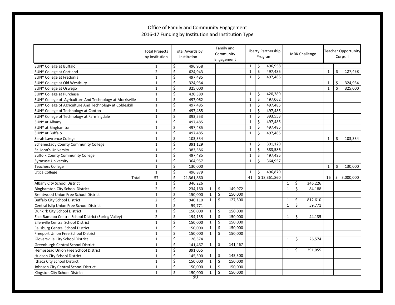|                                                           | <b>Total Projects</b><br>by Institution |                         | <b>Total Awards by</b><br>Institution |              | Family and<br>Community<br>Engagement |              | Liberty Partnership<br>Program |              |              | <b>MBK Challenge</b> |         |              | <b>Teacher Opportunity</b><br>Corps II |             |  |
|-----------------------------------------------------------|-----------------------------------------|-------------------------|---------------------------------------|--------------|---------------------------------------|--------------|--------------------------------|--------------|--------------|----------------------|---------|--------------|----------------------------------------|-------------|--|
| <b>SUNY College at Buffalo</b>                            | 1                                       | \$                      | 496,958                               |              |                                       | $\mathbf{1}$ | \$                             | 496,958      |              |                      |         |              |                                        |             |  |
| <b>SUNY College at Cortland</b>                           | $\overline{2}$                          | \$                      | 624,943                               |              |                                       | $\mathbf{1}$ | \$                             | 497,485      |              |                      |         | $\mathbf{1}$ | \$                                     | 127,458     |  |
| SUNY College at Fredonia                                  | $\mathbf{1}$                            | Ś                       | 497,485                               |              |                                       | $\mathbf{1}$ | Ś                              | 497,485      |              |                      |         |              |                                        |             |  |
| SUNY College at Old Westbury                              | $\mathbf{1}$                            | \$                      | 324,934                               |              |                                       |              |                                |              |              |                      |         | $\mathbf{1}$ | Ś.                                     | 324,934     |  |
| <b>SUNY College at Oswego</b>                             | $\mathbf{1}$                            | \$                      | 325,000                               |              |                                       |              |                                |              |              |                      |         | $\mathbf{1}$ | Ś                                      | 325,000     |  |
| <b>SUNY College at Purchase</b>                           | $\mathbf{1}$                            | \$                      | 420,389                               |              |                                       | $\mathbf{1}$ | \$                             | 420,389      |              |                      |         |              |                                        |             |  |
| SUNY College of Agriculture And Technology at Morrisville | $\mathbf{1}$                            | \$                      | 497,062                               |              |                                       | $\mathbf{1}$ | \$                             | 497,062      |              |                      |         |              |                                        |             |  |
| SUNY College of Agriculture And Technology at Cobleskill  | $\mathbf{1}$                            | \$                      | 497,485                               |              |                                       | $\mathbf{1}$ | \$                             | 497,485      |              |                      |         |              |                                        |             |  |
| SUNY College of Technology at Canton                      | $\mathbf{1}$                            | \$                      | 497,485                               |              |                                       | $\mathbf{1}$ | \$                             | 497,485      |              |                      |         |              |                                        |             |  |
| SUNY College of Technology at Farmingdale                 | $\mathbf{1}$                            | \$                      | 393,553                               |              |                                       | $\mathbf{1}$ | \$                             | 393,553      |              |                      |         |              |                                        |             |  |
| <b>SUNY at Albany</b>                                     | $\mathbf{1}$                            | \$                      | 497,485                               |              |                                       | $\mathbf{1}$ | \$                             | 497,485      |              |                      |         |              |                                        |             |  |
| <b>SUNY at Binghamton</b>                                 | $\mathbf{1}$                            | \$                      | 497,485                               |              |                                       | $\mathbf{1}$ | \$                             | 497,485      |              |                      |         |              |                                        |             |  |
| <b>SUNY at Buffalo</b>                                    | $\mathbf{1}$                            | $\overline{\mathsf{S}}$ | 497,485                               |              |                                       | $\mathbf{1}$ | \$                             | 497,485      |              |                      |         |              |                                        |             |  |
| Sarah Lawrence College                                    | $\mathbf{1}$                            | \$                      | 103,334                               |              |                                       |              |                                |              |              |                      |         | $\mathbf{1}$ | \$                                     | 103,334     |  |
| <b>Schenectady County Community College</b>               | $\mathbf{1}$                            | \$                      | 391,129                               |              |                                       | $\mathbf{1}$ | \$                             | 391,129      |              |                      |         |              |                                        |             |  |
| St. John's University                                     | $\mathbf{1}$                            | \$                      | 383,586                               |              |                                       | $\mathbf{1}$ | \$                             | 383,586      |              |                      |         |              |                                        |             |  |
| <b>Suffolk County Community College</b>                   | $\mathbf{1}$                            | \$                      | 497,485                               |              |                                       | $\mathbf{1}$ | \$                             | 497,485      |              |                      |         |              |                                        |             |  |
| <b>Syracuse University</b>                                | $\mathbf{1}$                            | \$                      | 364,957                               |              |                                       | $\mathbf{1}$ | \$                             | 364,957      |              |                      |         |              |                                        |             |  |
| Teachers College                                          | $\mathbf 1$                             | \$                      | 130,000                               |              |                                       |              |                                |              |              |                      |         | $\mathbf{1}$ | \$                                     | 130,000     |  |
| Utica College                                             | $\mathbf{1}$                            | \$                      | 496,879                               |              |                                       | $\mathbf{1}$ | \$                             | 496,879      |              |                      |         |              |                                        |             |  |
| Total                                                     | 57                                      | \$                      | 21,361,860                            |              |                                       | 41           |                                | \$18,361,860 |              |                      |         | 16           |                                        | \$3,000,000 |  |
| Albany City School District                               | $\mathbf{1}$                            | \$                      | 346,226                               |              |                                       |              |                                |              | $\mathbf{1}$ | \$                   | 346,226 |              |                                        |             |  |
| <b>Binghamton City School District</b>                    | $\mathbf 2$                             | \$                      | 234,160                               | $\mathbf{1}$ | \$<br>149,972                         |              |                                |              | $\mathbf{1}$ | \$                   | 84,188  |              |                                        |             |  |
| Brentwood Union Free School District                      | $\mathbf 1$                             | \$                      | 150,000                               | $\mathbf{1}$ | \$<br>150,000                         |              |                                |              |              |                      |         |              |                                        |             |  |
| <b>Buffalo City School District</b>                       | $\overline{2}$                          | \$                      | 940,110                               | $\mathbf{1}$ | \$<br>127,500                         |              |                                |              | $\mathbf{1}$ | \$                   | 812,610 |              |                                        |             |  |
| Central Islip Union Free School District                  | $\mathbf{1}$                            | \$                      | 59,771                                |              |                                       |              |                                |              | $\mathbf{1}$ | \$                   | 59,771  |              |                                        |             |  |
| Dunkirk City School District                              | $\mathbf{1}$                            | \$                      | 150,000                               | $\mathbf{1}$ | \$<br>150,000                         |              |                                |              |              |                      |         |              |                                        |             |  |
| East Ramapo Central School District (Spring Valley)       | $\overline{2}$                          | \$                      | 194,135                               | $\mathbf{1}$ | \$<br>150,000                         |              |                                |              | $\mathbf{1}$ | \$                   | 44,135  |              |                                        |             |  |
| Ellenville Central School District                        | $\mathbf{1}$                            | \$                      | 150,000                               | $\mathbf{1}$ | \$<br>150,000                         |              |                                |              |              |                      |         |              |                                        |             |  |
| <b>Fallsburg Central School District</b>                  | $\mathbf{1}$                            | \$                      | 150,000                               | $\mathbf{1}$ | \$<br>150,000                         |              |                                |              |              |                      |         |              |                                        |             |  |
| Freeport Union Free School District                       | $\mathbf{1}$                            | \$                      | 150,000                               | $\mathbf{1}$ | \$<br>150,000                         |              |                                |              |              |                      |         |              |                                        |             |  |
| Gloversville City School District                         | $\mathbf{1}$                            | \$                      | 26,574                                |              |                                       |              |                                |              | $\mathbf{1}$ | \$                   | 26,574  |              |                                        |             |  |
| Greenburgh Central School District                        | $\mathbf{1}$                            | \$                      | 141,467                               | $\mathbf{1}$ | \$<br>141,467                         |              |                                |              |              |                      |         |              |                                        |             |  |
| Hempstead Union Free School District                      | $\mathbf{1}$                            | \$                      | 391,055                               |              |                                       |              |                                |              | $\mathbf{1}$ | Ś.                   | 391,055 |              |                                        |             |  |
| Hudson City School District                               | $\mathbf{1}$                            | \$                      | 145,500                               | $\mathbf{1}$ | \$<br>145,500                         |              |                                |              |              |                      |         |              |                                        |             |  |
| Ithaca City School District                               | $\mathbf{1}$                            | \$                      | 150,000                               | $\mathbf{1}$ | \$<br>150,000                         |              |                                |              |              |                      |         |              |                                        |             |  |
| Johnson City Central School District                      | $\mathbf{1}$                            | \$                      | 150,000                               | $\mathbf{1}$ | \$<br>150,000                         |              |                                |              |              |                      |         |              |                                        |             |  |
| Kingston City School District                             | $\mathbf{1}$                            | \$                      | 150,000                               | $\mathbf{1}$ | \$<br>150,000                         |              |                                |              |              |                      |         |              |                                        |             |  |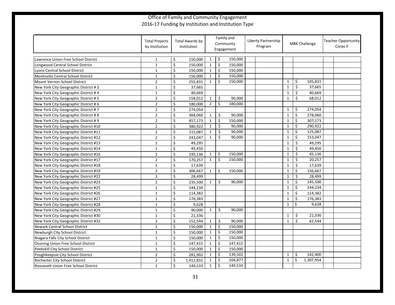|                                       | <b>Total Projects</b><br>by Institution |                         | Total Awards by<br>Institution | Family and<br>Community<br>Engagement |         |         | Liberty Partnership<br>Program |  | <b>MBK Challenge</b> |         |           | <b>Teacher Opportunity</b><br>Corps II |  |
|---------------------------------------|-----------------------------------------|-------------------------|--------------------------------|---------------------------------------|---------|---------|--------------------------------|--|----------------------|---------|-----------|----------------------------------------|--|
| Lawrence Union Free School District   | $\mathbf{1}$                            | \$                      | 150,000                        | $\mathbf{1}$                          | \$      | 150,000 |                                |  |                      |         |           |                                        |  |
| Longwood Central School District      | $\mathbf{1}$                            | \$                      | 150,000                        | $\mathbf{1}$                          | $\zeta$ | 150,000 |                                |  |                      |         |           |                                        |  |
| Lyons Central School District         | $\mathbf{1}$                            | \$                      | 150,000                        | $\mathbf{1}$                          | $\zeta$ | 150,000 |                                |  |                      |         |           |                                        |  |
| Monticello Central School District    | $\mathbf 1$                             | \$                      | 150,000                        | $\mathbf{1}$                          | \$      | 150,000 |                                |  |                      |         |           |                                        |  |
| Mount Vernon School District          | $\mathbf 2$                             | \$                      | 255,831                        | $\mathbf{1}$                          | $\zeta$ | 150,000 |                                |  | $\mathbf{1}$         | \$      | 105,831   |                                        |  |
| New York City Geographic District #3  | $\mathbf{1}$                            | \$                      | 37,665                         |                                       |         |         |                                |  | $\mathbf{1}$         | \$      | 37,665    |                                        |  |
| New York City Geographic District #4  | $\mathbf{1}$                            | \$                      | 40,669                         |                                       |         |         |                                |  | $\mathbf{1}$         | \$      | 40,669    |                                        |  |
| New York City Geographic District #5  | $\overline{2}$                          | \$                      | 158,012                        | $\mathbf{1}$                          | \$      | 90,000  |                                |  | $\mathbf{1}$         | \$      | 68,012    |                                        |  |
| New York City Geographic District #6  | $\overline{2}$                          | \$                      | 180,000                        | $\overline{2}$                        | \$      | 180,000 |                                |  |                      |         |           |                                        |  |
| New York City Geographic District #7  | $\mathbf{1}$                            | \$                      | 274,054                        |                                       |         |         |                                |  | $\mathbf{1}$         | \$      | 274,054   |                                        |  |
| New York City Geographic District #8  | $\overline{2}$                          | \$                      | 368,060                        | $\mathbf{1}$                          | \$      | 90,000  |                                |  | $\mathbf{1}$         | \$      | 278,060   |                                        |  |
| New York City Geographic District #9  | $\overline{2}$                          | $\overline{\xi}$        | 457,173                        | $\mathbf{1}$                          | $\zeta$ | 150,000 |                                |  | $\mathbf{1}$         | $\zeta$ | 307,173   |                                        |  |
| New York City Geographic District #10 | $\overline{2}$                          | \$                      | 380,922                        | $\mathbf{1}$                          | \$      | 90,000  |                                |  | $1\,$                | \$      | 290,922   |                                        |  |
| New York City Geographic District #11 | $\overline{2}$                          | \$                      | 215,087                        | $\mathbf{1}$                          | \$      | 90,000  |                                |  | $\mathbf{1}$         | \$      | 125,087   |                                        |  |
| New York City Geographic District #12 | $\overline{2}$                          | \$                      | 243,047                        | $\mathbf{1}$                          | \$      | 90.000  |                                |  | $\mathbf{1}$         | \$      | 153,047   |                                        |  |
| New York City Geographic District #13 | $\mathbf 1$                             | \$                      | 49,295                         |                                       |         |         |                                |  | $\mathbf{1}$         | \$      | 49,295    |                                        |  |
| New York City Geographic District #14 | $\mathbf{1}$                            | \$                      | 49,450                         |                                       |         |         |                                |  | $\mathbf{1}$         | \$      | 49,450    |                                        |  |
| New York City Geographic District #16 | $\overline{2}$                          | \$                      | 195,136                        | $\mathbf{1}$                          | \$      | 150,000 |                                |  | $\mathbf{1}$         | \$      | 45,136    |                                        |  |
| New York City Geographic District #17 | $\overline{2}$                          | \$                      | 170,257                        | $\mathbf{1}$                          | \$      | 150,000 |                                |  | $\mathbf{1}$         | \$      | 20,257    |                                        |  |
| New York City Geographic District #18 | $\mathbf{1}$                            | \$                      | 17,639                         |                                       |         |         |                                |  | $\mathbf{1}$         | \$      | 17,639    |                                        |  |
| New York City Geographic District #19 | $\overline{2}$                          | \$                      | 306,667                        | $\mathbf{1}$                          | $\zeta$ | 150,000 |                                |  | $\mathbf{1}$         | \$      | 156,667   |                                        |  |
| New York City Geographic District #22 | $\mathbf 1$                             | \$                      | 28,499                         |                                       |         |         |                                |  | $1\,$                | \$      | 28,499    |                                        |  |
| New York City Geographic District #23 | $\overline{2}$                          | \$                      | 235,500                        | $\mathbf{1}$                          | \$      | 90,000  |                                |  | $\mathbf{1}$         | \$      | 145,500   |                                        |  |
| New York City Geographic District #25 | $\mathbf{1}$                            | \$                      | 144,234                        |                                       |         |         |                                |  | $\mathbf{1}$         | \$      | 144,234   |                                        |  |
| New York City Geographic District #26 | $\mathbf 1$                             | \$                      | 114,382                        |                                       |         |         |                                |  | $\mathbf{1}$         | \$      | 114,382   |                                        |  |
| New York City Geographic District #27 | $\mathbf{1}$                            | \$                      | 176,383                        |                                       |         |         |                                |  | $\mathbf{1}$         | \$      | 176,383   |                                        |  |
| New York City Geographic District #28 | $\mathbf{1}$                            | \$                      | 9,628                          |                                       |         |         |                                |  | $\mathbf{1}$         | \$      | 9,628     |                                        |  |
| New York City Geographic District #29 | $\mathbf{1}$                            | $\overline{\mathsf{S}}$ | 90,000                         | $\mathbf{1}$                          | \$      | 90.000  |                                |  |                      |         |           |                                        |  |
| New York City Geographic District #30 | $\mathbf 1$                             | \$                      | 21,336                         |                                       |         |         |                                |  | $1\,$                | \$      | 21,336    |                                        |  |
| New York City Geographic District #32 | $\overline{2}$                          | \$                      | 152,544                        | $\mathbf{1}$                          | \$      | 90,000  |                                |  | $\mathbf{1}$         | \$      | 62,544    |                                        |  |
| Newark Central School District        | $\mathbf{1}$                            | \$                      | 150,000                        | $\mathbf{1}$                          | \$      | 150,000 |                                |  |                      |         |           |                                        |  |
| Newburgh City School District         | $\mathbf{1}$                            | \$                      | 150,000                        | $\mathbf{1}$                          | \$      | 150,000 |                                |  |                      |         |           |                                        |  |
| Niagara Falls City School District    | $\mathbf{1}$                            | \$                      | 150,000                        | $\mathbf{1}$                          | \$      | 150,000 |                                |  |                      |         |           |                                        |  |
| Ossining Union Free School District   | $\mathbf{1}$                            | \$                      | 147,415                        | $\mathbf{1}$                          | \$      | 147,415 |                                |  |                      |         |           |                                        |  |
| Peekskill City School District        | $\mathbf{1}$                            | \$                      | 150,000                        | $\mathbf{1}$                          | $\zeta$ | 150,000 |                                |  |                      |         |           |                                        |  |
| Poughkeepsie City School District     | $\overline{2}$                          | \$                      | 281,902                        | $\mathbf{1}$                          | \$      | 139,502 |                                |  | $\mathbf{1}$         | \$      | 142,400   |                                        |  |
| Rochester City School District        | $\overline{2}$                          | \$                      | 1,412,831                      | 1                                     | \$      | 104,877 |                                |  | $\mathbf{1}$         | \$      | 1,307,954 |                                        |  |
| Roosevelt Union Free School District  | $\mathbf{1}$                            | \$                      | 149,533                        | $\mathbf{1}$                          | $\zeta$ | 149,533 |                                |  |                      |         |           |                                        |  |